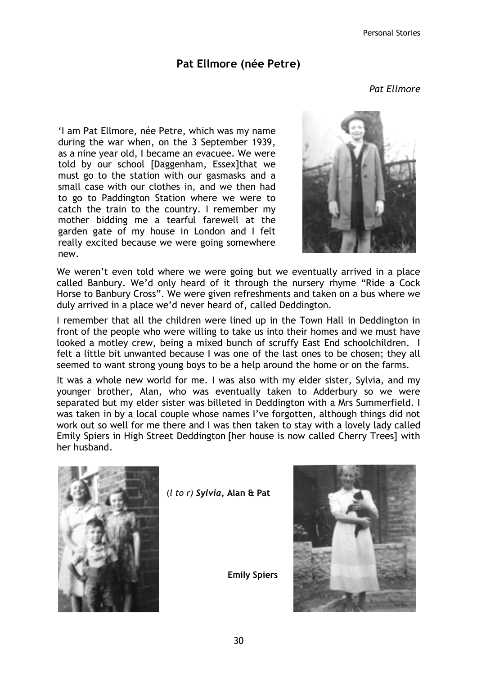## Pat Ellmore (née Petre)

Pat Ellmore

'I am Pat Ellmore, née Petre, which was my name during the war when, on the 3 September 1939, as a nine year old, I became an evacuee. We were told by our school [Daggenham, Essex]that we must go to the station with our gasmasks and a small case with our clothes in, and we then had to go to Paddington Station where we were to catch the train to the country. I remember my mother bidding me a tearful farewell at the garden gate of my house in London and I felt really excited because we were going somewhere new.



We weren't even told where we were going but we eventually arrived in a place called Banbury. We'd only heard of it through the nursery rhyme "Ride a Cock Horse to Banbury Cross". We were given refreshments and taken on a bus where we duly arrived in a place we'd never heard of, called Deddington.

I remember that all the children were lined up in the Town Hall in Deddington in front of the people who were willing to take us into their homes and we must have looked a motley crew, being a mixed bunch of scruffy East End schoolchildren. I felt a little bit unwanted because I was one of the last ones to be chosen; they all seemed to want strong young boys to be a help around the home or on the farms.

It was a whole new world for me. I was also with my elder sister, Sylvia, and my younger brother, Alan, who was eventually taken to Adderbury so we were separated but my elder sister was billeted in Deddington with a Mrs Summerfield. I was taken in by a local couple whose names I've forgotten, although things did not work out so well for me there and I was then taken to stay with a lovely lady called Emily Spiers in High Street Deddington [her house is now called Cherry Trees] with her husband.



 $(l$  to r) Sylvia, Alan & Pat



Emily Spiers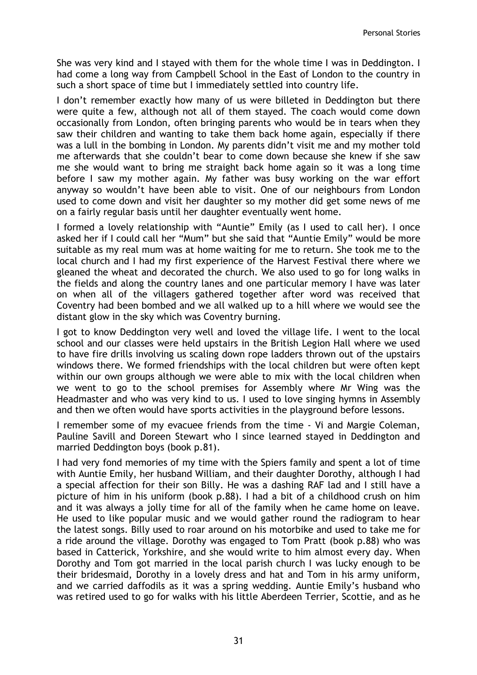She was very kind and I stayed with them for the whole time I was in Deddington. I had come a long way from Campbell School in the East of London to the country in such a short space of time but I immediately settled into country life.

I don't remember exactly how many of us were billeted in Deddington but there were quite a few, although not all of them stayed. The coach would come down occasionally from London, often bringing parents who would be in tears when they saw their children and wanting to take them back home again, especially if there was a lull in the bombing in London. My parents didn't visit me and my mother told me afterwards that she couldn't bear to come down because she knew if she saw me she would want to bring me straight back home again so it was a long time before I saw my mother again. My father was busy working on the war effort anyway so wouldn't have been able to visit. One of our neighbours from London used to come down and visit her daughter so my mother did get some news of me on a fairly regular basis until her daughter eventually went home.

I formed a lovely relationship with "Auntie" Emily (as I used to call her). I once asked her if I could call her "Mum" but she said that "Auntie Emily" would be more suitable as my real mum was at home waiting for me to return. She took me to the local church and I had my first experience of the Harvest Festival there where we gleaned the wheat and decorated the church. We also used to go for long walks in the fields and along the country lanes and one particular memory I have was later on when all of the villagers gathered together after word was received that Coventry had been bombed and we all walked up to a hill where we would see the distant glow in the sky which was Coventry burning.

I got to know Deddington very well and loved the village life. I went to the local school and our classes were held upstairs in the British Legion Hall where we used to have fire drills involving us scaling down rope ladders thrown out of the upstairs windows there. We formed friendships with the local children but were often kept within our own groups although we were able to mix with the local children when we went to go to the school premises for Assembly where Mr Wing was the Headmaster and who was very kind to us. I used to love singing hymns in Assembly and then we often would have sports activities in the playground before lessons.

I remember some of my evacuee friends from the time - Vi and Margie Coleman, Pauline Savill and Doreen Stewart who I since learned stayed in Deddington and married Deddington boys (book p.81).

I had very fond memories of my time with the Spiers family and spent a lot of time with Auntie Emily, her husband William, and their daughter Dorothy, although I had a special affection for their son Billy. He was a dashing RAF lad and I still have a picture of him in his uniform (book p.88). I had a bit of a childhood crush on him and it was always a jolly time for all of the family when he came home on leave. He used to like popular music and we would gather round the radiogram to hear the latest songs. Billy used to roar around on his motorbike and used to take me for a ride around the village. Dorothy was engaged to Tom Pratt (book p.88) who was based in Catterick, Yorkshire, and she would write to him almost every day. When Dorothy and Tom got married in the local parish church I was lucky enough to be their bridesmaid, Dorothy in a lovely dress and hat and Tom in his army uniform, and we carried daffodils as it was a spring wedding. Auntie Emily's husband who was retired used to go for walks with his little Aberdeen Terrier, Scottie, and as he